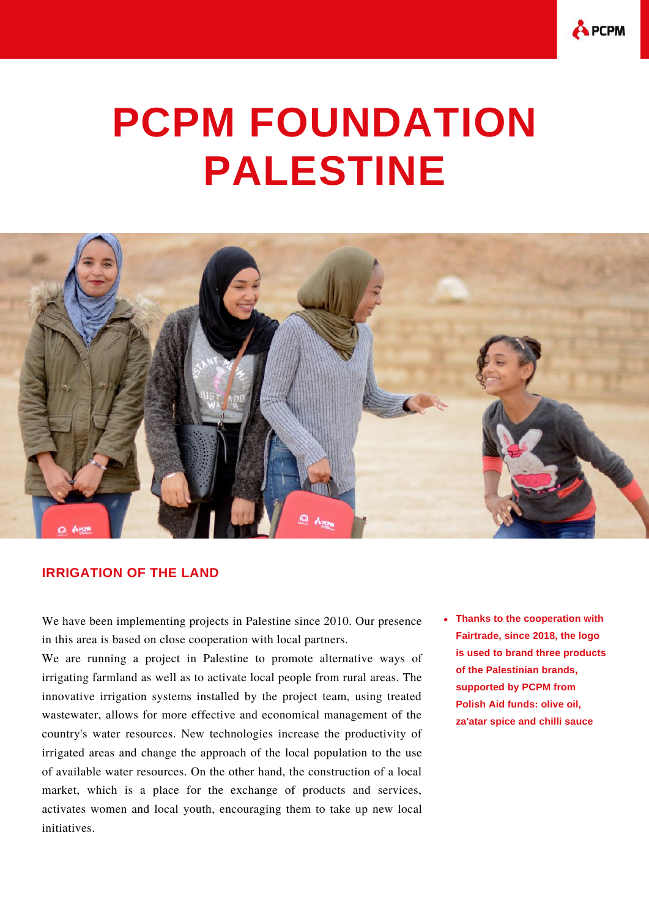

## **PCPM FOUNDATION PALESTINE**



## **IRRIGATION OF THE LAND**

We have been implementing projects in Palestine since 2010. Our presence in this area is based on close cooperation with local partners.

We are running a project in Palestine to promote alternative ways of irrigating farmland as well as to activate local people from rural areas. The innovative irrigation systems installed by the project team, using treated wastewater, allows for more effective and economical management of the country's water resources. New technologies increase the productivity of irrigated areas and change the approach of the local population to the use of available water resources. On the other hand, the construction of a local market, which is a place for the exchange of products and services, activates women and local youth, encouraging them to take up new local initiatives.

**Thanks to the cooperation with Fairtrade, since 2018, the logo is used to brand three products of the Palestinian brands, supported by PCPM from Polish Aid funds: olive oil, za'atar spice and chilli sauce**